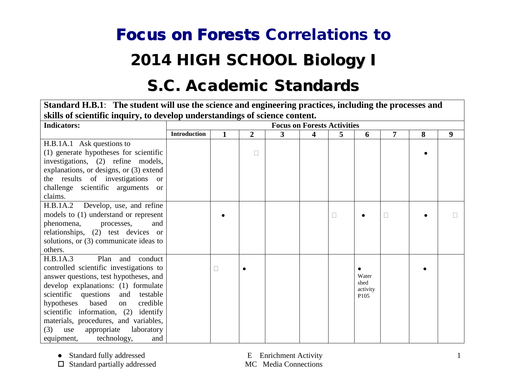## Focus on Forests Correlations to 2014 HIGH SCHOOL Biology I

## S.C. Academic Standards

**Standard H.B.1**: **The student will use the science and engineering practices, including the processes and skills of scientific inquiry, to develop understandings of science content.**

| <b>Indicators:</b>                             |                     |                |   | <b>Focus on Forests Activities</b> |   |                  |   |   |   |
|------------------------------------------------|---------------------|----------------|---|------------------------------------|---|------------------|---|---|---|
|                                                | <b>Introduction</b> | $\overline{2}$ | 3 | 4                                  | 5 | 6                | 7 | 8 | 9 |
| H.B.1A.1 Ask questions to                      |                     |                |   |                                    |   |                  |   |   |   |
| (1) generate hypotheses for scientific         |                     | $\Box$         |   |                                    |   |                  |   |   |   |
| investigations, (2) refine models,             |                     |                |   |                                    |   |                  |   |   |   |
| explanations, or designs, or (3) extend        |                     |                |   |                                    |   |                  |   |   |   |
| the results of investigations<br><sub>or</sub> |                     |                |   |                                    |   |                  |   |   |   |
| challenge scientific arguments or              |                     |                |   |                                    |   |                  |   |   |   |
| claims.                                        |                     |                |   |                                    |   |                  |   |   |   |
| H.B.1A.2<br>Develop, use, and refine           |                     |                |   |                                    |   |                  |   |   |   |
| models to (1) understand or represent          |                     |                |   |                                    |   |                  |   |   |   |
| phenomena, processes,<br>and                   |                     |                |   |                                    |   |                  |   |   |   |
| relationships, (2) test devices or             |                     |                |   |                                    |   |                  |   |   |   |
| solutions, or (3) communicate ideas to         |                     |                |   |                                    |   |                  |   |   |   |
| others.                                        |                     |                |   |                                    |   |                  |   |   |   |
| H.B.1A.3<br>Plan<br>conduct<br>and             |                     |                |   |                                    |   |                  |   |   |   |
| controlled scientific investigations to        |                     |                |   |                                    |   |                  |   |   |   |
| answer questions, test hypotheses, and         |                     |                |   |                                    |   | Water<br>shed    |   |   |   |
| develop explanations: (1) formulate            |                     |                |   |                                    |   | activity         |   |   |   |
| scientific questions<br>and testable           |                     |                |   |                                    |   | P <sub>105</sub> |   |   |   |
| hypotheses<br>based<br>credible<br>on          |                     |                |   |                                    |   |                  |   |   |   |
| scientific information, (2) identify           |                     |                |   |                                    |   |                  |   |   |   |
| materials, procedures, and variables,          |                     |                |   |                                    |   |                  |   |   |   |
| appropriate<br>laboratory<br>(3)<br>use        |                     |                |   |                                    |   |                  |   |   |   |
| technology,<br>equipment,<br>and               |                     |                |   |                                    |   |                  |   |   |   |

• Standard fully addressed E Enrichment Activity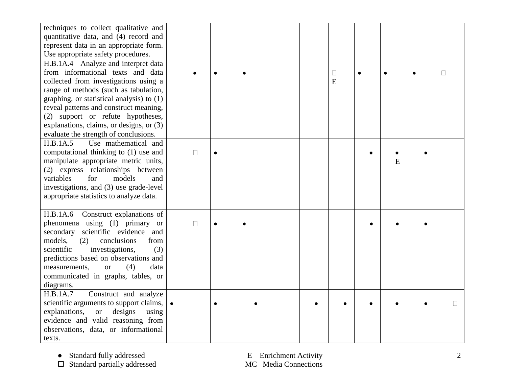| techniques to collect qualitative and<br>quantitative data, and (4) record and<br>represent data in an appropriate form.<br>Use appropriate safety procedures.                                                                                                                                                                                                              |        |  |  |             |   |        |
|-----------------------------------------------------------------------------------------------------------------------------------------------------------------------------------------------------------------------------------------------------------------------------------------------------------------------------------------------------------------------------|--------|--|--|-------------|---|--------|
| H.B.1A.4 Analyze and interpret data<br>from informational texts and data<br>collected from investigations using a<br>range of methods (such as tabulation,<br>graphing, or statistical analysis) to (1)<br>reveal patterns and construct meaning,<br>(2) support or refute hypotheses,<br>explanations, claims, or designs, or (3)<br>evaluate the strength of conclusions. |        |  |  | $\Box$<br>E |   | $\Box$ |
| H.B.1A.5<br>Use mathematical and<br>computational thinking to (1) use and<br>manipulate appropriate metric units,<br>(2) express relationships between<br>variables<br>models<br>for<br>and<br>investigations, and (3) use grade-level<br>appropriate statistics to analyze data.                                                                                           | $\Box$ |  |  |             | E |        |
| H.B.1A.6 Construct explanations of<br>phenomena using (1) primary or<br>secondary scientific evidence and<br>conclusions<br>models,<br>(2)<br>from<br>(3)<br>scientific<br>investigations,<br>predictions based on observations and<br>(4)<br>measurements,<br>data<br><b>or</b><br>communicated in graphs, tables, or<br>diagrams.                                         | $\Box$ |  |  |             |   |        |
| H.B.1A.7<br>Construct and analyze<br>scientific arguments to support claims,<br>explanations,<br>designs<br><b>or</b><br>using<br>evidence and valid reasoning from<br>observations, data, or informational<br>texts.                                                                                                                                                       |        |  |  |             |   | П      |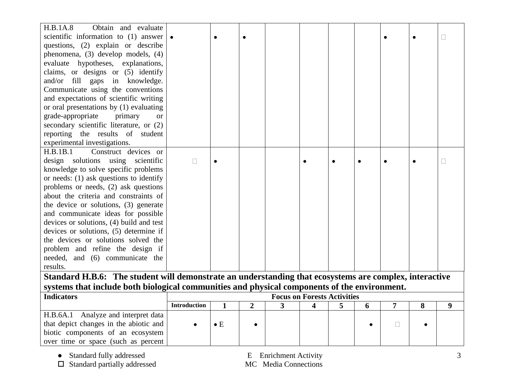| H.B.1A.8<br>Obtain and evaluate                                                                        |                                    |              |                |              |   |   |   |        |   |              |
|--------------------------------------------------------------------------------------------------------|------------------------------------|--------------|----------------|--------------|---|---|---|--------|---|--------------|
| scientific information to (1) answer                                                                   |                                    | $\bullet$    | $\bullet$      |              |   |   |   |        |   |              |
| questions, (2) explain or describe                                                                     |                                    |              |                |              |   |   |   |        |   |              |
| phenomena, (3) develop models, (4)                                                                     |                                    |              |                |              |   |   |   |        |   |              |
| evaluate hypotheses, explanations,                                                                     |                                    |              |                |              |   |   |   |        |   |              |
| claims, or designs or (5) identify                                                                     |                                    |              |                |              |   |   |   |        |   |              |
| and/or fill gaps in knowledge.                                                                         |                                    |              |                |              |   |   |   |        |   |              |
| Communicate using the conventions                                                                      |                                    |              |                |              |   |   |   |        |   |              |
| and expectations of scientific writing                                                                 |                                    |              |                |              |   |   |   |        |   |              |
| or oral presentations by (1) evaluating                                                                |                                    |              |                |              |   |   |   |        |   |              |
| grade-appropriate<br>primary<br><sub>or</sub>                                                          |                                    |              |                |              |   |   |   |        |   |              |
| secondary scientific literature, or (2)                                                                |                                    |              |                |              |   |   |   |        |   |              |
| reporting the results of student                                                                       |                                    |              |                |              |   |   |   |        |   |              |
| experimental investigations.                                                                           |                                    |              |                |              |   |   |   |        |   |              |
| Construct devices or<br>H.B.1B.1                                                                       |                                    |              |                |              |   |   |   |        |   |              |
| design solutions using scientific                                                                      | $\Box$                             |              |                |              |   |   |   |        |   | $\mathbf{L}$ |
| knowledge to solve specific problems                                                                   |                                    |              |                |              |   |   |   |        |   |              |
| or needs: (1) ask questions to identify                                                                |                                    |              |                |              |   |   |   |        |   |              |
| problems or needs, (2) ask questions                                                                   |                                    |              |                |              |   |   |   |        |   |              |
| about the criteria and constraints of                                                                  |                                    |              |                |              |   |   |   |        |   |              |
| the device or solutions, (3) generate                                                                  |                                    |              |                |              |   |   |   |        |   |              |
| and communicate ideas for possible                                                                     |                                    |              |                |              |   |   |   |        |   |              |
| devices or solutions, (4) build and test                                                               |                                    |              |                |              |   |   |   |        |   |              |
| devices or solutions, (5) determine if                                                                 |                                    |              |                |              |   |   |   |        |   |              |
| the devices or solutions solved the                                                                    |                                    |              |                |              |   |   |   |        |   |              |
| problem and refine the design if                                                                       |                                    |              |                |              |   |   |   |        |   |              |
| needed, and (6) communicate the                                                                        |                                    |              |                |              |   |   |   |        |   |              |
| results.                                                                                               |                                    |              |                |              |   |   |   |        |   |              |
| Standard H.B.6: The student will demonstrate an understanding that ecosystems are complex, interactive |                                    |              |                |              |   |   |   |        |   |              |
| systems that include both biological communities and physical components of the environment.           |                                    |              |                |              |   |   |   |        |   |              |
| <b>Indicators</b>                                                                                      | <b>Focus on Forests Activities</b> |              |                |              |   |   |   |        |   |              |
|                                                                                                        | <b>Introduction</b>                | $\mathbf{1}$ | $\overline{2}$ | $\mathbf{3}$ | 4 | 5 | 6 | 7      | 8 | 9            |
| H.B.6A.1 Analyze and interpret data                                                                    |                                    |              |                |              |   |   |   |        |   |              |
| that depict changes in the abiotic and                                                                 |                                    | $\bullet$ E  |                |              |   |   |   | $\Box$ |   |              |
| biotic components of an ecosystem                                                                      |                                    |              |                |              |   |   |   |        |   |              |
| over time or space (such as percent                                                                    |                                    |              |                |              |   |   |   |        |   |              |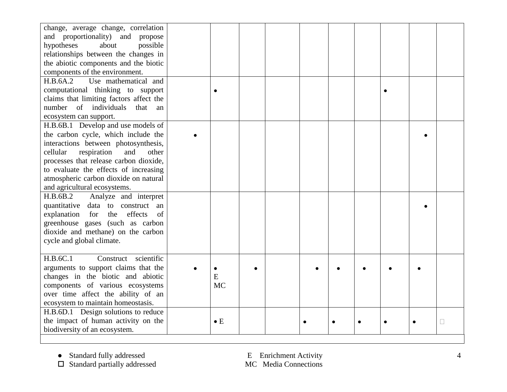| change, average change, correlation<br>and proportionality) and propose<br>hypotheses<br>about<br>possible<br>relationships between the changes in<br>the abiotic components and the biotic<br>components of the environment.                                                                                            |                |  |           |  |  |        |
|--------------------------------------------------------------------------------------------------------------------------------------------------------------------------------------------------------------------------------------------------------------------------------------------------------------------------|----------------|--|-----------|--|--|--------|
| H.B.6A.2<br>Use mathematical and<br>computational thinking to support<br>claims that limiting factors affect the<br>of individuals<br>number<br>that<br>an<br>ecosystem can support.                                                                                                                                     |                |  |           |  |  |        |
| H.B.6B.1 Develop and use models of<br>the carbon cycle, which include the<br>interactions between photosynthesis,<br>cellular<br>respiration<br>and<br>other<br>processes that release carbon dioxide,<br>to evaluate the effects of increasing<br>atmospheric carbon dioxide on natural<br>and agricultural ecosystems. |                |  |           |  |  |        |
| Analyze and interpret<br>H.B.6B.2<br>quantitative data to construct an<br>explanation<br>the<br>effects<br>for<br>of<br>greenhouse gases (such as carbon<br>dioxide and methane) on the carbon<br>cycle and global climate.                                                                                              |                |  |           |  |  |        |
| H.B.6C.1<br>scientific<br>Construct<br>arguments to support claims that the<br>changes in the biotic and abiotic<br>components of various ecosystems<br>over time affect the ability of an<br>ecosystem to maintain homeostasis.                                                                                         | E<br><b>MC</b> |  |           |  |  |        |
| H.B.6D.1 Design solutions to reduce<br>the impact of human activity on the<br>biodiversity of an ecosystem.                                                                                                                                                                                                              | $\bullet$ E    |  | $\bullet$ |  |  | $\Box$ |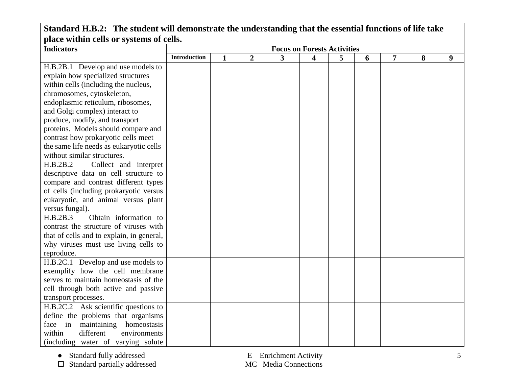| place within eens of systems of cens.<br><b>Indicators</b> | <b>Focus on Forests Activities</b> |              |   |   |   |   |   |   |   |   |
|------------------------------------------------------------|------------------------------------|--------------|---|---|---|---|---|---|---|---|
|                                                            | <b>Introduction</b>                | $\mathbf{1}$ | 2 | 3 | 4 | 5 | 6 | 7 | 8 | 9 |
| H.B.2B.1 Develop and use models to                         |                                    |              |   |   |   |   |   |   |   |   |
| explain how specialized structures                         |                                    |              |   |   |   |   |   |   |   |   |
| within cells (including the nucleus,                       |                                    |              |   |   |   |   |   |   |   |   |
| chromosomes, cytoskeleton,                                 |                                    |              |   |   |   |   |   |   |   |   |
| endoplasmic reticulum, ribosomes,                          |                                    |              |   |   |   |   |   |   |   |   |
| and Golgi complex) interact to                             |                                    |              |   |   |   |   |   |   |   |   |
| produce, modify, and transport                             |                                    |              |   |   |   |   |   |   |   |   |
| proteins. Models should compare and                        |                                    |              |   |   |   |   |   |   |   |   |
| contrast how prokaryotic cells meet                        |                                    |              |   |   |   |   |   |   |   |   |
| the same life needs as eukaryotic cells                    |                                    |              |   |   |   |   |   |   |   |   |
| without similar structures.                                |                                    |              |   |   |   |   |   |   |   |   |
| H.B.2B.2<br>Collect and interpret                          |                                    |              |   |   |   |   |   |   |   |   |
| descriptive data on cell structure to                      |                                    |              |   |   |   |   |   |   |   |   |
| compare and contrast different types                       |                                    |              |   |   |   |   |   |   |   |   |
| of cells (including prokaryotic versus                     |                                    |              |   |   |   |   |   |   |   |   |
| eukaryotic, and animal versus plant                        |                                    |              |   |   |   |   |   |   |   |   |
| versus fungal).                                            |                                    |              |   |   |   |   |   |   |   |   |
| Obtain information to<br>H.B.2B.3                          |                                    |              |   |   |   |   |   |   |   |   |
| contrast the structure of viruses with                     |                                    |              |   |   |   |   |   |   |   |   |
| that of cells and to explain, in general,                  |                                    |              |   |   |   |   |   |   |   |   |
| why viruses must use living cells to                       |                                    |              |   |   |   |   |   |   |   |   |
| reproduce.                                                 |                                    |              |   |   |   |   |   |   |   |   |
| H.B.2C.1 Develop and use models to                         |                                    |              |   |   |   |   |   |   |   |   |
| exemplify how the cell membrane                            |                                    |              |   |   |   |   |   |   |   |   |
| serves to maintain homeostasis of the                      |                                    |              |   |   |   |   |   |   |   |   |
| cell through both active and passive                       |                                    |              |   |   |   |   |   |   |   |   |
| transport processes.                                       |                                    |              |   |   |   |   |   |   |   |   |
| H.B.2C.2 Ask scientific questions to                       |                                    |              |   |   |   |   |   |   |   |   |
| define the problems that organisms                         |                                    |              |   |   |   |   |   |   |   |   |
| maintaining homeostasis<br>face in                         |                                    |              |   |   |   |   |   |   |   |   |
| within<br>different<br>environments                        |                                    |              |   |   |   |   |   |   |   |   |
| (including water of varying solute)                        |                                    |              |   |   |   |   |   |   |   |   |

## **Standard H.B.2: The student will demonstrate the understanding that the essential functions of life take place within cells or systems of cells.**

 $\square$  Standard partially addressed

● Standard fully addressed<br>
□ Standard partially addressed<br>
□ Standard partially addressed<br>
□ MC Media Connections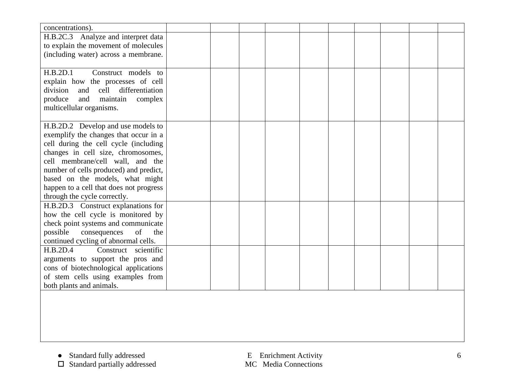| concentrations).                           |  |  |  |  |  |
|--------------------------------------------|--|--|--|--|--|
| H.B.2C.3 Analyze and interpret data        |  |  |  |  |  |
| to explain the movement of molecules       |  |  |  |  |  |
| (including water) across a membrane.       |  |  |  |  |  |
|                                            |  |  |  |  |  |
| H.B.2D.1<br>Construct models to            |  |  |  |  |  |
| explain how the processes of cell          |  |  |  |  |  |
| division<br>cell<br>differentiation<br>and |  |  |  |  |  |
| produce<br>maintain<br>and<br>complex      |  |  |  |  |  |
| multicellular organisms.                   |  |  |  |  |  |
|                                            |  |  |  |  |  |
| H.B.2D.2 Develop and use models to         |  |  |  |  |  |
| exemplify the changes that occur in a      |  |  |  |  |  |
| cell during the cell cycle (including      |  |  |  |  |  |
| changes in cell size, chromosomes,         |  |  |  |  |  |
| cell membrane/cell wall, and the           |  |  |  |  |  |
| number of cells produced) and predict,     |  |  |  |  |  |
| based on the models, what might            |  |  |  |  |  |
| happen to a cell that does not progress    |  |  |  |  |  |
| through the cycle correctly.               |  |  |  |  |  |
| H.B.2D.3 Construct explanations for        |  |  |  |  |  |
| how the cell cycle is monitored by         |  |  |  |  |  |
| check point systems and communicate        |  |  |  |  |  |
| possible<br>consequences<br>of<br>the      |  |  |  |  |  |
| continued cycling of abnormal cells.       |  |  |  |  |  |
| H.B.2D.4<br>Construct scientific           |  |  |  |  |  |
| arguments to support the pros and          |  |  |  |  |  |
| cons of biotechnological applications      |  |  |  |  |  |
| of stem cells using examples from          |  |  |  |  |  |
| both plants and animals.                   |  |  |  |  |  |
|                                            |  |  |  |  |  |
|                                            |  |  |  |  |  |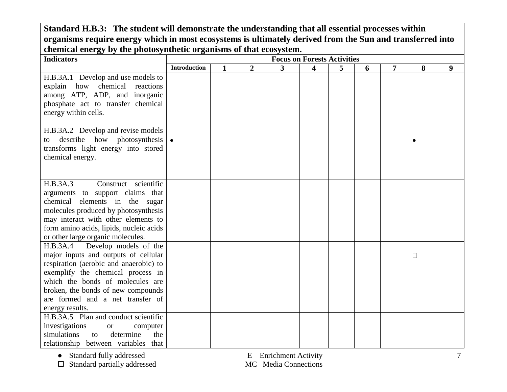**Standard H.B.3: The student will demonstrate the understanding that all essential processes within organisms require energy which in most ecosystems is ultimately derived from the Sun and transferred into chemical energy by the photosynthetic organisms of that ecosystem.**

| $\alpha$ , and $\alpha$ , and $\alpha$ are proved introduced by $\alpha$ and $\alpha$ and $\alpha$<br><b>Indicators</b>                                                                                                                                                                   |                     |              |                |   | <b>Focus on Forests Activities</b> |   |   |   |   |   |
|-------------------------------------------------------------------------------------------------------------------------------------------------------------------------------------------------------------------------------------------------------------------------------------------|---------------------|--------------|----------------|---|------------------------------------|---|---|---|---|---|
|                                                                                                                                                                                                                                                                                           | <b>Introduction</b> | $\mathbf{1}$ | $\overline{2}$ | 3 | $\overline{\mathbf{4}}$            | 5 | 6 | 7 | 8 | 9 |
| H.B.3A.1 Develop and use models to<br>explain how chemical reactions<br>among ATP, ADP, and inorganic<br>phosphate act to transfer chemical<br>energy within cells.                                                                                                                       |                     |              |                |   |                                    |   |   |   |   |   |
| H.B.3A.2 Develop and revise models<br>describe how photosynthesis<br>to<br>transforms light energy into stored<br>chemical energy.                                                                                                                                                        |                     |              |                |   |                                    |   |   |   |   |   |
| Construct scientific<br>H.B.3A.3<br>arguments to support claims that<br>chemical elements in the sugar<br>molecules produced by photosynthesis<br>may interact with other elements to<br>form amino acids, lipids, nucleic acids<br>or other large organic molecules.                     |                     |              |                |   |                                    |   |   |   |   |   |
| Develop models of the<br>H.B.3A.4<br>major inputs and outputs of cellular<br>respiration (aerobic and anaerobic) to<br>exemplify the chemical process in<br>which the bonds of molecules are<br>broken, the bonds of new compounds<br>are formed and a net transfer of<br>energy results. |                     |              |                |   |                                    |   |   |   |   |   |
| H.B.3A.5 Plan and conduct scientific<br>investigations<br>computer<br><b>or</b><br>determine<br>simulations<br>the<br>to<br>relationship between variables that                                                                                                                           |                     |              |                |   |                                    |   |   |   |   |   |

● Standard fully addressed E Enrichment Activity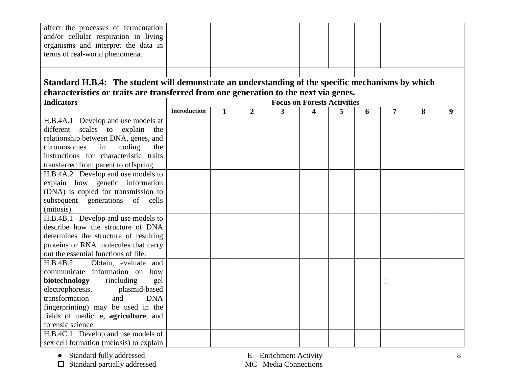| characteristics or traits are transferred from one generation to the next via genes.              |  |  |  |  |  |  |  |  |  |  |  |
|---------------------------------------------------------------------------------------------------|--|--|--|--|--|--|--|--|--|--|--|
| <b>Focus on Forests Activities</b><br><b>Introduction</b>                                         |  |  |  |  |  |  |  |  |  |  |  |
| 9                                                                                                 |  |  |  |  |  |  |  |  |  |  |  |
|                                                                                                   |  |  |  |  |  |  |  |  |  |  |  |
|                                                                                                   |  |  |  |  |  |  |  |  |  |  |  |
|                                                                                                   |  |  |  |  |  |  |  |  |  |  |  |
|                                                                                                   |  |  |  |  |  |  |  |  |  |  |  |
|                                                                                                   |  |  |  |  |  |  |  |  |  |  |  |
|                                                                                                   |  |  |  |  |  |  |  |  |  |  |  |
|                                                                                                   |  |  |  |  |  |  |  |  |  |  |  |
|                                                                                                   |  |  |  |  |  |  |  |  |  |  |  |
|                                                                                                   |  |  |  |  |  |  |  |  |  |  |  |
|                                                                                                   |  |  |  |  |  |  |  |  |  |  |  |
|                                                                                                   |  |  |  |  |  |  |  |  |  |  |  |
|                                                                                                   |  |  |  |  |  |  |  |  |  |  |  |
|                                                                                                   |  |  |  |  |  |  |  |  |  |  |  |
|                                                                                                   |  |  |  |  |  |  |  |  |  |  |  |
|                                                                                                   |  |  |  |  |  |  |  |  |  |  |  |
|                                                                                                   |  |  |  |  |  |  |  |  |  |  |  |
|                                                                                                   |  |  |  |  |  |  |  |  |  |  |  |
|                                                                                                   |  |  |  |  |  |  |  |  |  |  |  |
|                                                                                                   |  |  |  |  |  |  |  |  |  |  |  |
|                                                                                                   |  |  |  |  |  |  |  |  |  |  |  |
|                                                                                                   |  |  |  |  |  |  |  |  |  |  |  |
|                                                                                                   |  |  |  |  |  |  |  |  |  |  |  |
|                                                                                                   |  |  |  |  |  |  |  |  |  |  |  |
|                                                                                                   |  |  |  |  |  |  |  |  |  |  |  |
|                                                                                                   |  |  |  |  |  |  |  |  |  |  |  |
| Standard H.B.4: The student will demonstrate an understanding of the specific mechanisms by which |  |  |  |  |  |  |  |  |  |  |  |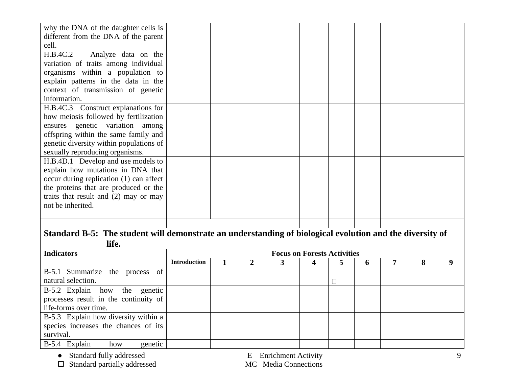| why the DNA of the daughter cells is                                                                     |                                    |  |  |  |  |  |  |  |  |  |
|----------------------------------------------------------------------------------------------------------|------------------------------------|--|--|--|--|--|--|--|--|--|
| different from the DNA of the parent                                                                     |                                    |  |  |  |  |  |  |  |  |  |
| cell.                                                                                                    |                                    |  |  |  |  |  |  |  |  |  |
| H.B.4C.2<br>Analyze data on the                                                                          |                                    |  |  |  |  |  |  |  |  |  |
| variation of traits among individual                                                                     |                                    |  |  |  |  |  |  |  |  |  |
| organisms within a population to                                                                         |                                    |  |  |  |  |  |  |  |  |  |
| explain patterns in the data in the                                                                      |                                    |  |  |  |  |  |  |  |  |  |
| context of transmission of genetic                                                                       |                                    |  |  |  |  |  |  |  |  |  |
| information.                                                                                             |                                    |  |  |  |  |  |  |  |  |  |
| H.B.4C.3 Construct explanations for                                                                      |                                    |  |  |  |  |  |  |  |  |  |
| how meiosis followed by fertilization                                                                    |                                    |  |  |  |  |  |  |  |  |  |
| ensures genetic variation among                                                                          |                                    |  |  |  |  |  |  |  |  |  |
| offspring within the same family and                                                                     |                                    |  |  |  |  |  |  |  |  |  |
| genetic diversity within populations of                                                                  |                                    |  |  |  |  |  |  |  |  |  |
| sexually reproducing organisms.                                                                          |                                    |  |  |  |  |  |  |  |  |  |
| H.B.4D.1 Develop and use models to                                                                       |                                    |  |  |  |  |  |  |  |  |  |
| explain how mutations in DNA that                                                                        |                                    |  |  |  |  |  |  |  |  |  |
| occur during replication (1) can affect                                                                  |                                    |  |  |  |  |  |  |  |  |  |
| the proteins that are produced or the                                                                    |                                    |  |  |  |  |  |  |  |  |  |
| traits that result and $(2)$ may or may                                                                  |                                    |  |  |  |  |  |  |  |  |  |
| not be inherited.                                                                                        |                                    |  |  |  |  |  |  |  |  |  |
|                                                                                                          |                                    |  |  |  |  |  |  |  |  |  |
|                                                                                                          |                                    |  |  |  |  |  |  |  |  |  |
| Standard B-5: The student will demonstrate an understanding of biological evolution and the diversity of |                                    |  |  |  |  |  |  |  |  |  |
| life.                                                                                                    |                                    |  |  |  |  |  |  |  |  |  |
| <b>Indicators</b>                                                                                        | <b>Focus on Forests Activities</b> |  |  |  |  |  |  |  |  |  |

| <b>Indicators</b>                                                                               |                     | <b>Focus on Forests Activities</b> |  |  |  |  |              |  |   |  |  |
|-------------------------------------------------------------------------------------------------|---------------------|------------------------------------|--|--|--|--|--------------|--|---|--|--|
|                                                                                                 | <b>Introduction</b> |                                    |  |  |  |  | $\mathbf{v}$ |  | 0 |  |  |
| B-5.1 Summarize the process of<br>natural selection.                                            |                     |                                    |  |  |  |  |              |  |   |  |  |
| B-5.2 Explain how the genetic<br>processes result in the continuity of<br>life-forms over time. |                     |                                    |  |  |  |  |              |  |   |  |  |
| B-5.3 Explain how diversity within a<br>species increases the chances of its<br>survival.       |                     |                                    |  |  |  |  |              |  |   |  |  |
| genetic<br>B-5.4 Explain<br>how                                                                 |                     |                                    |  |  |  |  |              |  |   |  |  |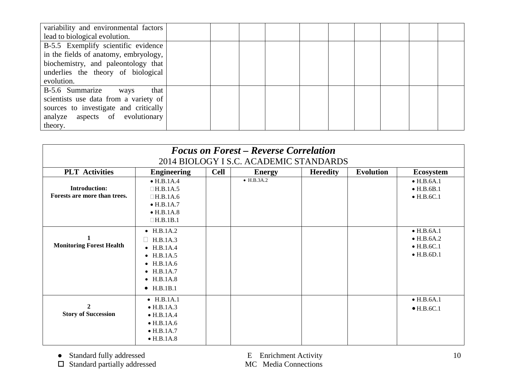| variability and environmental factors |  |  |  |  |  |
|---------------------------------------|--|--|--|--|--|
| lead to biological evolution.         |  |  |  |  |  |
| B-5.5 Exemplify scientific evidence   |  |  |  |  |  |
| in the fields of anatomy, embryology, |  |  |  |  |  |
| biochemistry, and paleontology that   |  |  |  |  |  |
| underlies the theory of biological    |  |  |  |  |  |
| evolution.                            |  |  |  |  |  |
| B-5.6 Summarize<br>that<br>ways       |  |  |  |  |  |
| scientists use data from a variety of |  |  |  |  |  |
| sources to investigate and critically |  |  |  |  |  |
| analyze aspects of evolutionary       |  |  |  |  |  |
| theory.                               |  |  |  |  |  |

| <b>Focus on Forest – Reverse Correlation</b><br>2014 BIOLOGY I S.C. ACADEMIC STANDARDS |                                                                                                                                                              |             |                    |                 |                  |                                                                                      |  |  |  |  |  |  |
|----------------------------------------------------------------------------------------|--------------------------------------------------------------------------------------------------------------------------------------------------------------|-------------|--------------------|-----------------|------------------|--------------------------------------------------------------------------------------|--|--|--|--|--|--|
| <b>PLT</b> Activities                                                                  | <b>Engineering</b>                                                                                                                                           | <b>Cell</b> | <b>Energy</b>      | <b>Heredity</b> | <b>Evolution</b> | <b>Ecosystem</b>                                                                     |  |  |  |  |  |  |
| <b>Introduction:</b><br>Forests are more than trees.                                   | $\bullet$ H.B.1A.4<br>$\Box$ H.B.1A.5<br>$\Box$ H.B.1A.6<br>$\bullet$ H.B.1A.7<br>$\bullet$ H.B.1A.8<br>$\Box$ H.B.1B.1                                      |             | $\bullet$ H.B.3A.2 |                 |                  | $\bullet$ H.B.6A.1<br>$\bullet$ H.B.6B.1<br>$\bullet$ H.B.6C.1                       |  |  |  |  |  |  |
| <b>Monitoring Forest Health</b>                                                        | • $H.B.1A.2$<br>H.B.1A.3<br>$\bullet$ H.B.1A.4<br>$\bullet$ H.B.1A.5<br>$\bullet$ H.B.1A.6<br>$\bullet$ H.B.1A.7<br>$\bullet$ H.B.1A.8<br>$\bullet$ H.B.1B.1 |             |                    |                 |                  | $\bullet$ H.B.6A.1<br>$\bullet$ H.B.6A.2<br>$\bullet$ H.B.6C.1<br>$\bullet$ H.B.6D.1 |  |  |  |  |  |  |
| $\mathbf{2}$<br><b>Story of Succession</b>                                             | $\bullet$ H.B.1A.1<br>$\bullet$ H.B.1A.3<br>$\bullet$ H.B.1A.4<br>$\bullet$ H.B.1A.6<br>$\bullet$ H.B.1A.7<br>$\bullet$ H.B.1A.8                             |             |                    |                 |                  | $\bullet$ H.B.6A.1<br>$\bullet$ H.B.6C.1                                             |  |  |  |  |  |  |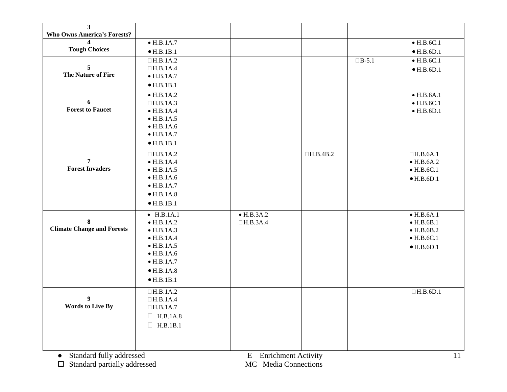| $\overline{\mathbf{3}}$<br><b>Who Owns America's Forests?</b> |                    |                    |                 |              |                    |
|---------------------------------------------------------------|--------------------|--------------------|-----------------|--------------|--------------------|
|                                                               | $\bullet$ H.B.1A.7 |                    |                 |              | $\bullet$ H.B.6C.1 |
| <b>Tough Choices</b>                                          | $\bullet$ H.B.1B.1 |                    |                 |              | $\bullet$ H.B.6D.1 |
|                                                               | $\Box$ H.B.1A.2    |                    |                 | $\Box B-5.1$ | $\bullet$ H.B.6C.1 |
| 5                                                             | $\Box$ H.B.1A.4    |                    |                 |              | $\bullet$ H.B.6D.1 |
| The Nature of Fire                                            | $\bullet$ H.B.1A.7 |                    |                 |              |                    |
|                                                               | $\bullet$ H.B.1B.1 |                    |                 |              |                    |
|                                                               | $\bullet$ H.B.1A.2 |                    |                 |              | $\bullet$ H.B.6A.1 |
| 6                                                             | $\Box$ H.B.1A.3    |                    |                 |              | $\bullet$ H.B.6C.1 |
| <b>Forest to Faucet</b>                                       | $\bullet$ H.B.1A.4 |                    |                 |              | $\bullet$ H.B.6D.1 |
|                                                               | $\bullet$ H.B.1A.5 |                    |                 |              |                    |
|                                                               | $\bullet$ H.B.1A.6 |                    |                 |              |                    |
|                                                               | $\bullet$ H.B.1A.7 |                    |                 |              |                    |
|                                                               | $\bullet$ H.B.1B.1 |                    |                 |              |                    |
|                                                               | $\Box$ H.B.1A.2    |                    | $\Box$ H.B.4B.2 |              | $\Box$ H.B.6A.1    |
| $\overline{7}$                                                | $\bullet$ H.B.1A.4 |                    |                 |              | $\bullet$ H.B.6A.2 |
| <b>Forest Invaders</b>                                        | $\bullet$ H.B.1A.5 |                    |                 |              | $\bullet$ H.B.6C.1 |
|                                                               | $\bullet$ H.B.1A.6 |                    |                 |              | $\bullet$ H.B.6D.1 |
|                                                               | $\bullet$ H.B.1A.7 |                    |                 |              |                    |
|                                                               | $\bullet$ H.B.1A.8 |                    |                 |              |                    |
|                                                               | $\bullet$ H.B.1B.1 |                    |                 |              |                    |
|                                                               | $\bullet$ H.B.1A.1 | $\bullet$ H.B.3A.2 |                 |              | $\bullet$ H.B.6A.1 |
| 8                                                             | $\bullet$ H.B.1A.2 | $\Box$ H.B.3A.4    |                 |              | $\bullet$ H.B.6B.1 |
| <b>Climate Change and Forests</b>                             | $\bullet$ H.B.1A.3 |                    |                 |              | $\bullet$ H.B.6B.2 |
|                                                               | $\bullet$ H.B.1A.4 |                    |                 |              | $\bullet$ H.B.6C.1 |
|                                                               | $\bullet$ H.B.1A.5 |                    |                 |              | $\bullet$ H.B.6D.1 |
|                                                               | $\bullet$ H.B.1A.6 |                    |                 |              |                    |
|                                                               | $\bullet$ H.B.1A.7 |                    |                 |              |                    |
|                                                               | $\bullet$ H.B.1A.8 |                    |                 |              |                    |
|                                                               | $\bullet$ H.B.1B.1 |                    |                 |              |                    |
|                                                               | $\Box$ H.B.1A.2    |                    |                 |              | $\Box$ H.B.6D.1    |
| 9                                                             | $\Box$ H.B.1A.4    |                    |                 |              |                    |
| <b>Words to Live By</b>                                       | $\Box$ H.B.1A.7    |                    |                 |              |                    |
|                                                               | $\Box$ H.B.1A.8    |                    |                 |              |                    |
|                                                               | $\Box$ H.B.1B.1    |                    |                 |              |                    |
|                                                               |                    |                    |                 |              |                    |
|                                                               |                    |                    |                 |              |                    |
|                                                               |                    |                    |                 |              |                    |

 $\square$  Standard partially addressed MC Media Connections

11